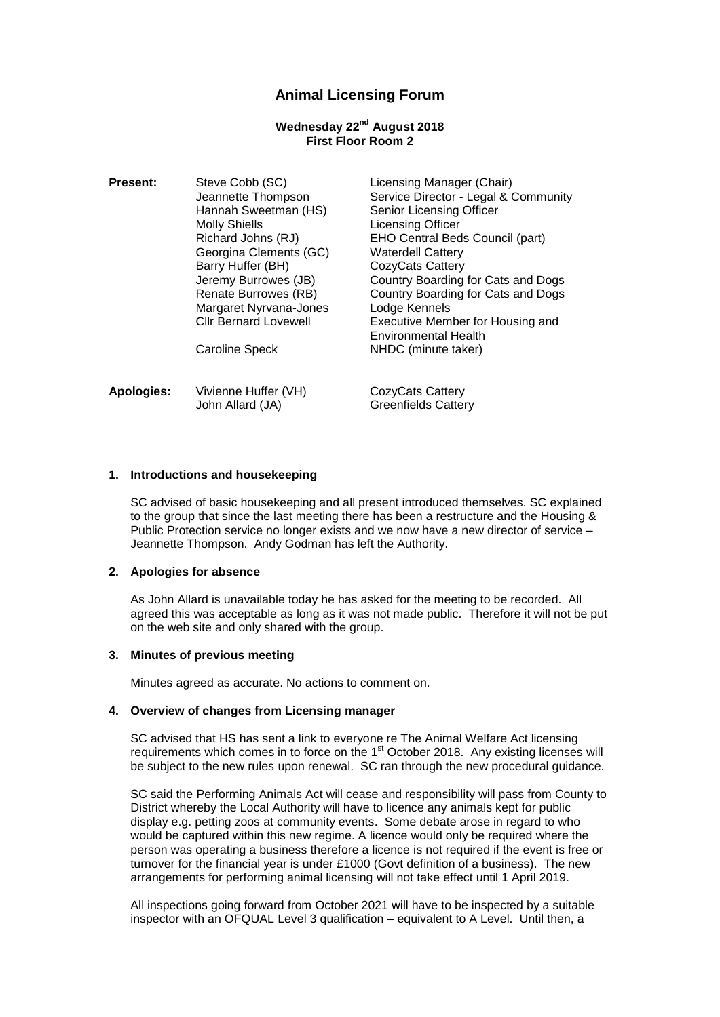# **Animal Licensing Forum**

## **Wednesday 22nd August 2018 First Floor Room 2**

**Present:** Steve Cobb (SC) Licensing Manager (Chair) Hannah Sweetman (HS) Senior Licensing Officer Molly Shiells **Licensing Officer** Richard Johns (RJ) EHO Central Beds Council (part) Georgina Clements (GC) Waterdell Cattery Barry Huffer (BH) CozyCats Cattery Margaret Nyrvana-Jones Lodge Kennels Cllr Bernard Lovewell Executive Member for Housing and

Apologies: Vivienne Huffer (VH) CozyCats Cattery John Allard (JA) Greenfields Cattery

Jeannette Thompson Service Director - Legal & Community Jeremy Burrowes (JB) Country Boarding for Cats and Dogs Renate Burrowes (RB) Country Boarding for Cats and Dogs Environmental Health Caroline Speck NHDC (minute taker)

### **1. Introductions and housekeeping**

SC advised of basic housekeeping and all present introduced themselves. SC explained to the group that since the last meeting there has been a restructure and the Housing & Public Protection service no longer exists and we now have a new director of service – Jeannette Thompson. Andy Godman has left the Authority.

### **2. Apologies for absence**

As John Allard is unavailable today he has asked for the meeting to be recorded. All agreed this was acceptable as long as it was not made public. Therefore it will not be put on the web site and only shared with the group.

### **3. Minutes of previous meeting**

Minutes agreed as accurate. No actions to comment on.

### **4. Overview of changes from Licensing manager**

SC advised that HS has sent a link to everyone re The Animal Welfare Act licensing requirements which comes in to force on the 1<sup>st</sup> October 2018. Any existing licenses will be subject to the new rules upon renewal. SC ran through the new procedural guidance.

SC said the Performing Animals Act will cease and responsibility will pass from County to District whereby the Local Authority will have to licence any animals kept for public display e.g. petting zoos at community events. Some debate arose in regard to who would be captured within this new regime. A licence would only be required where the person was operating a business therefore a licence is not required if the event is free or turnover for the financial year is under £1000 (Govt definition of a business). The new arrangements for performing animal licensing will not take effect until 1 April 2019.

All inspections going forward from October 2021 will have to be inspected by a suitable inspector with an OFQUAL Level 3 qualification – equivalent to A Level. Until then, a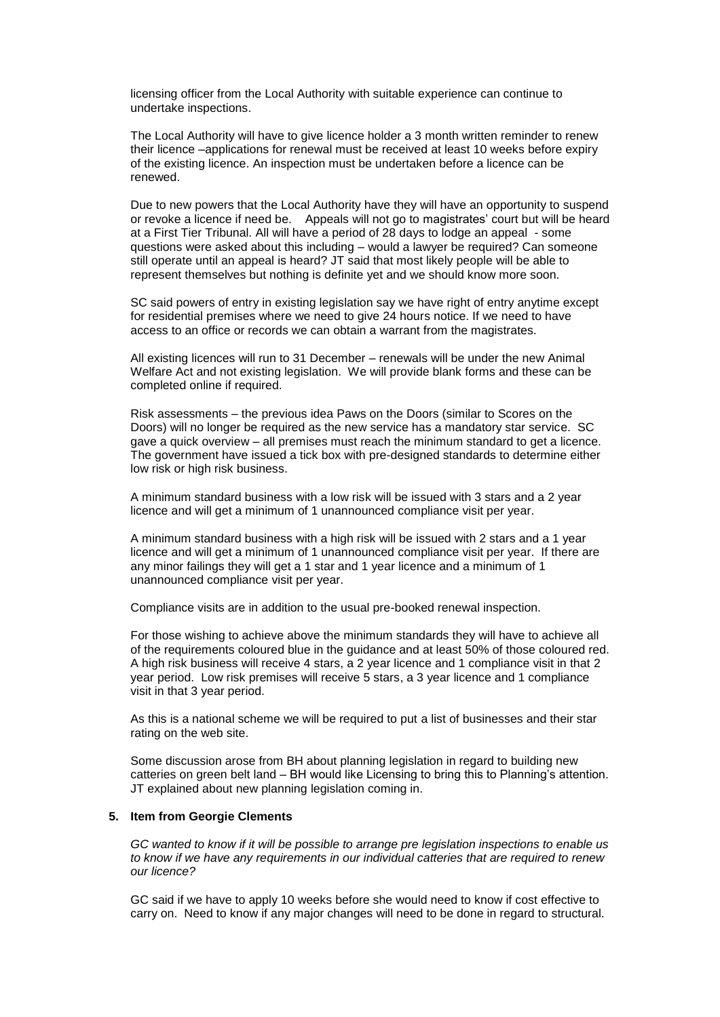licensing officer from the Local Authority with suitable experience can continue to undertake inspections.

The Local Authority will have to give licence holder a 3 month written reminder to renew their licence –applications for renewal must be received at least 10 weeks before expiry of the existing licence. An inspection must be undertaken before a licence can be renewed.

Due to new powers that the Local Authority have they will have an opportunity to suspend or revoke a licence if need be. Appeals will not go to magistrates' court but will be heard at a First Tier Tribunal. All will have a period of 28 days to lodge an appeal - some questions were asked about this including – would a lawyer be required? Can someone still operate until an appeal is heard? JT said that most likely people will be able to represent themselves but nothing is definite yet and we should know more soon.

SC said powers of entry in existing legislation say we have right of entry anytime except for residential premises where we need to give 24 hours notice. If we need to have access to an office or records we can obtain a warrant from the magistrates.

All existing licences will run to 31 December – renewals will be under the new Animal Welfare Act and not existing legislation. We will provide blank forms and these can be completed online if required.

Risk assessments – the previous idea Paws on the Doors (similar to Scores on the Doors) will no longer be required as the new service has a mandatory star service. SC gave a quick overview – all premises must reach the minimum standard to get a licence. The government have issued a tick box with pre-designed standards to determine either low risk or high risk business.

A minimum standard business with a low risk will be issued with 3 stars and a 2 year licence and will get a minimum of 1 unannounced compliance visit per year.

A minimum standard business with a high risk will be issued with 2 stars and a 1 year licence and will get a minimum of 1 unannounced compliance visit per year. If there are any minor failings they will get a 1 star and 1 year licence and a minimum of 1 unannounced compliance visit per year.

Compliance visits are in addition to the usual pre-booked renewal inspection.

For those wishing to achieve above the minimum standards they will have to achieve all of the requirements coloured blue in the guidance and at least 50% of those coloured red. A high risk business will receive 4 stars, a 2 year licence and 1 compliance visit in that 2 year period. Low risk premises will receive 5 stars, a 3 year licence and 1 compliance visit in that 3 year period.

As this is a national scheme we will be required to put a list of businesses and their star rating on the web site.

Some discussion arose from BH about planning legislation in regard to building new catteries on green belt land – BH would like Licensing to bring this to Planning's attention. JT explained about new planning legislation coming in.

#### **5. Item from Georgie Clements**

*GC wanted to know if it will be possible to arrange pre legislation inspections to enable us to know if we have any requirements in our individual catteries that are required to renew our licence?*

GC said if we have to apply 10 weeks before she would need to know if cost effective to carry on. Need to know if any major changes will need to be done in regard to structural.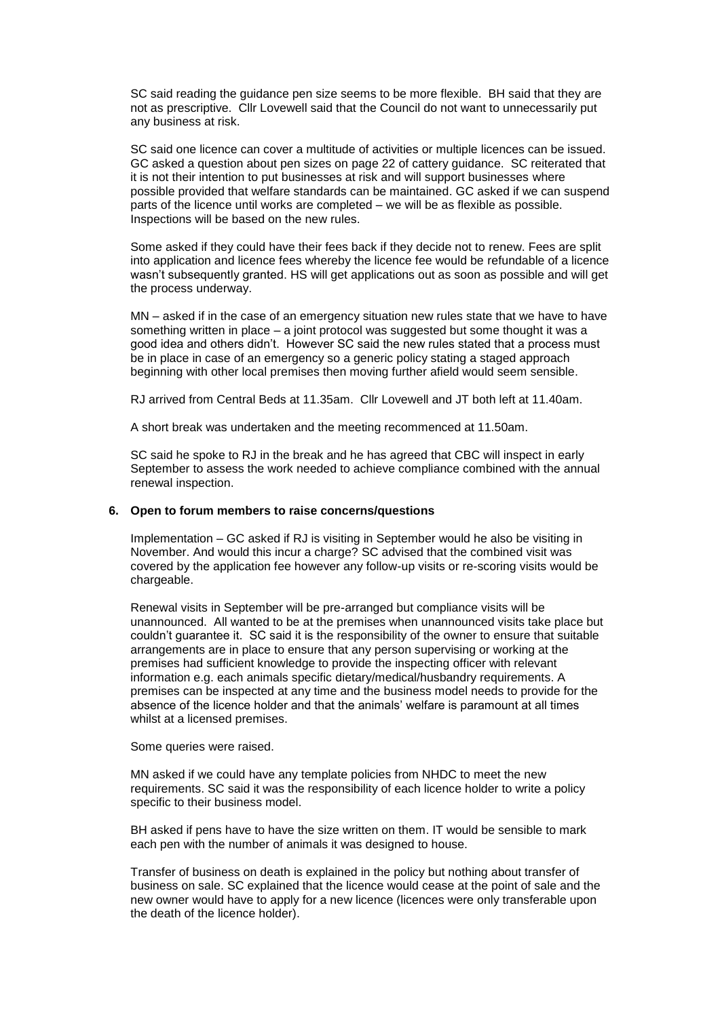SC said reading the guidance pen size seems to be more flexible. BH said that they are not as prescriptive. Cllr Lovewell said that the Council do not want to unnecessarily put any business at risk.

SC said one licence can cover a multitude of activities or multiple licences can be issued. GC asked a question about pen sizes on page 22 of cattery guidance. SC reiterated that it is not their intention to put businesses at risk and will support businesses where possible provided that welfare standards can be maintained. GC asked if we can suspend parts of the licence until works are completed – we will be as flexible as possible. Inspections will be based on the new rules.

Some asked if they could have their fees back if they decide not to renew. Fees are split into application and licence fees whereby the licence fee would be refundable of a licence wasn't subsequently granted. HS will get applications out as soon as possible and will get the process underway.

MN – asked if in the case of an emergency situation new rules state that we have to have something written in place – a joint protocol was suggested but some thought it was a good idea and others didn't. However SC said the new rules stated that a process must be in place in case of an emergency so a generic policy stating a staged approach beginning with other local premises then moving further afield would seem sensible.

RJ arrived from Central Beds at 11.35am. Cllr Lovewell and JT both left at 11.40am.

A short break was undertaken and the meeting recommenced at 11.50am.

SC said he spoke to RJ in the break and he has agreed that CBC will inspect in early September to assess the work needed to achieve compliance combined with the annual renewal inspection.

## **6. Open to forum members to raise concerns/questions**

Implementation – GC asked if RJ is visiting in September would he also be visiting in November. And would this incur a charge? SC advised that the combined visit was covered by the application fee however any follow-up visits or re-scoring visits would be chargeable.

Renewal visits in September will be pre-arranged but compliance visits will be unannounced. All wanted to be at the premises when unannounced visits take place but couldn't guarantee it. SC said it is the responsibility of the owner to ensure that suitable arrangements are in place to ensure that any person supervising or working at the premises had sufficient knowledge to provide the inspecting officer with relevant information e.g. each animals specific dietary/medical/husbandry requirements. A premises can be inspected at any time and the business model needs to provide for the absence of the licence holder and that the animals' welfare is paramount at all times whilst at a licensed premises.

#### Some queries were raised.

MN asked if we could have any template policies from NHDC to meet the new requirements. SC said it was the responsibility of each licence holder to write a policy specific to their business model.

BH asked if pens have to have the size written on them. IT would be sensible to mark each pen with the number of animals it was designed to house.

Transfer of business on death is explained in the policy but nothing about transfer of business on sale. SC explained that the licence would cease at the point of sale and the new owner would have to apply for a new licence (licences were only transferable upon the death of the licence holder).